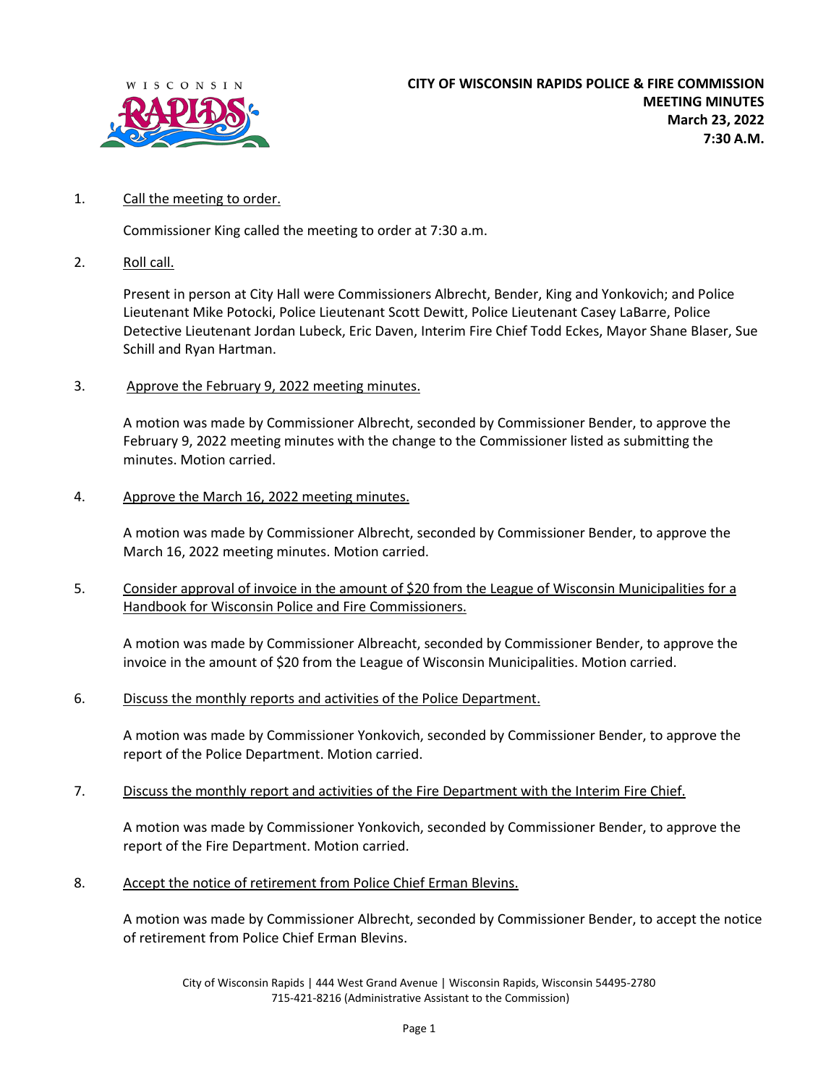

## 1. Call the meeting to order.

Commissioner King called the meeting to order at 7:30 a.m.

2. Roll call.

Present in person at City Hall were Commissioners Albrecht, Bender, King and Yonkovich; and Police Lieutenant Mike Potocki, Police Lieutenant Scott Dewitt, Police Lieutenant Casey LaBarre, Police Detective Lieutenant Jordan Lubeck, Eric Daven, Interim Fire Chief Todd Eckes, Mayor Shane Blaser, Sue Schill and Ryan Hartman.

3. Approve the February 9, 2022 meeting minutes.

A motion was made by Commissioner Albrecht, seconded by Commissioner Bender, to approve the February 9, 2022 meeting minutes with the change to the Commissioner listed as submitting the minutes. Motion carried.

4. Approve the March 16, 2022 meeting minutes.

A motion was made by Commissioner Albrecht, seconded by Commissioner Bender, to approve the March 16, 2022 meeting minutes. Motion carried.

5. Consider approval of invoice in the amount of \$20 from the League of Wisconsin Municipalities for a Handbook for Wisconsin Police and Fire Commissioners.

A motion was made by Commissioner Albreacht, seconded by Commissioner Bender, to approve the invoice in the amount of \$20 from the League of Wisconsin Municipalities. Motion carried.

6. Discuss the monthly reports and activities of the Police Department.

A motion was made by Commissioner Yonkovich, seconded by Commissioner Bender, to approve the report of the Police Department. Motion carried.

7. Discuss the monthly report and activities of the Fire Department with the Interim Fire Chief.

A motion was made by Commissioner Yonkovich, seconded by Commissioner Bender, to approve the report of the Fire Department. Motion carried.

8. Accept the notice of retirement from Police Chief Erman Blevins.

A motion was made by Commissioner Albrecht, seconded by Commissioner Bender, to accept the notice of retirement from Police Chief Erman Blevins.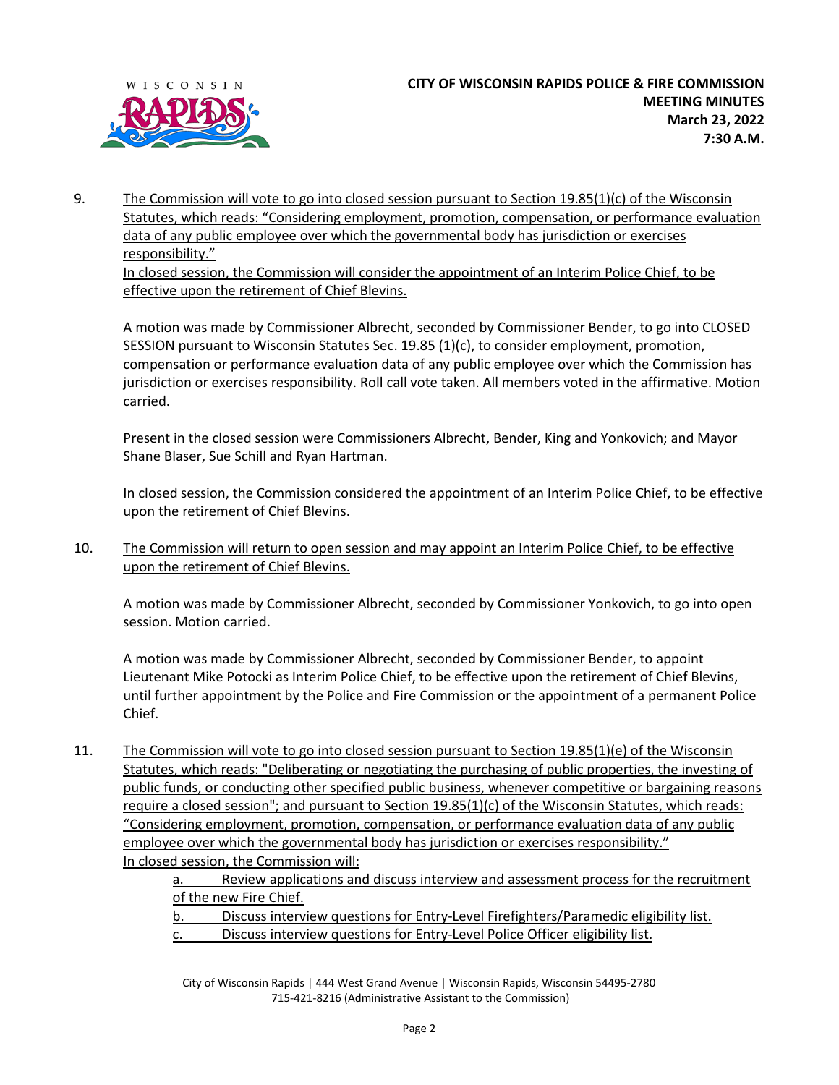

9. The Commission will vote to go into closed session pursuant to Section 19.85(1)(c) of the Wisconsin Statutes, which reads: "Considering employment, promotion, compensation, or performance evaluation data of any public employee over which the governmental body has jurisdiction or exercises responsibility." In closed session, the Commission will consider the appointment of an Interim Police Chief, to be

effective upon the retirement of Chief Blevins.

A motion was made by Commissioner Albrecht, seconded by Commissioner Bender, to go into CLOSED SESSION pursuant to Wisconsin Statutes Sec. 19.85 (1)(c), to consider employment, promotion, compensation or performance evaluation data of any public employee over which the Commission has jurisdiction or exercises responsibility. Roll call vote taken. All members voted in the affirmative. Motion carried.

Present in the closed session were Commissioners Albrecht, Bender, King and Yonkovich; and Mayor Shane Blaser, Sue Schill and Ryan Hartman.

In closed session, the Commission considered the appointment of an Interim Police Chief, to be effective upon the retirement of Chief Blevins.

10. The Commission will return to open session and may appoint an Interim Police Chief, to be effective upon the retirement of Chief Blevins.

A motion was made by Commissioner Albrecht, seconded by Commissioner Yonkovich, to go into open session. Motion carried.

A motion was made by Commissioner Albrecht, seconded by Commissioner Bender, to appoint Lieutenant Mike Potocki as Interim Police Chief, to be effective upon the retirement of Chief Blevins, until further appointment by the Police and Fire Commission or the appointment of a permanent Police Chief.

11. The Commission will vote to go into closed session pursuant to Section 19.85(1)(e) of the Wisconsin Statutes, which reads: "Deliberating or negotiating the purchasing of public properties, the investing of public funds, or conducting other specified public business, whenever competitive or bargaining reasons require a closed session"; and pursuant to Section 19.85(1)(c) of the Wisconsin Statutes, which reads: "Considering employment, promotion, compensation, or performance evaluation data of any public employee over which the governmental body has jurisdiction or exercises responsibility." In closed session, the Commission will:

a. Review applications and discuss interview and assessment process for the recruitment of the new Fire Chief.

b. Discuss interview questions for Entry-Level Firefighters/Paramedic eligibility list.

c. Discuss interview questions for Entry-Level Police Officer eligibility list.

City of Wisconsin Rapids | 444 West Grand Avenue | Wisconsin Rapids, Wisconsin 54495-2780 715-421-8216 (Administrative Assistant to the Commission)